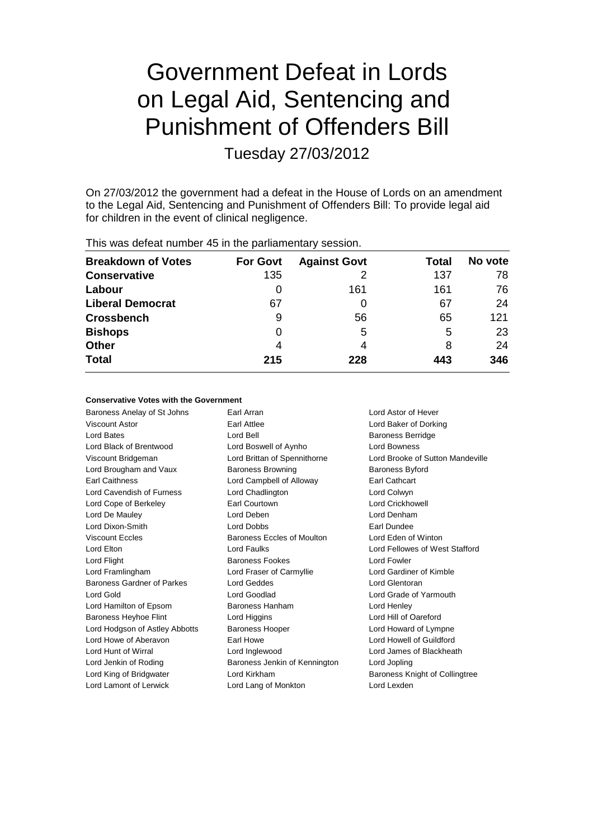# Government Defeat in Lords on Legal Aid, Sentencing and Punishment of Offenders Bill

Tuesday 27/03/2012

On 27/03/2012 the government had a defeat in the House of Lords on an amendment to the Legal Aid, Sentencing and Punishment of Offenders Bill: To provide legal aid for children in the event of clinical negligence.

| This mas actout harmoof to in the parliamentary occolorin |                 |                     |       |         |  |  |
|-----------------------------------------------------------|-----------------|---------------------|-------|---------|--|--|
| <b>Breakdown of Votes</b>                                 | <b>For Govt</b> | <b>Against Govt</b> | Total | No vote |  |  |
| <b>Conservative</b>                                       | 135             |                     | 137   | 78      |  |  |
| Labour                                                    |                 | 161                 | 161   | 76      |  |  |
| <b>Liberal Democrat</b>                                   | 67              | 0                   | 67    | 24      |  |  |
| <b>Crossbench</b>                                         | 9               | 56                  | 65    | 121     |  |  |
| <b>Bishops</b>                                            | 0               | 5                   | 5     | 23      |  |  |
| <b>Other</b>                                              | 4               | 4                   | 8     | 24      |  |  |
| <b>Total</b>                                              | 215             | 228                 | 443   | 346     |  |  |
|                                                           |                 |                     |       |         |  |  |

This was defeat number 45 in the parliamentary session.

#### **Conservative Votes with the Government**

Baroness Anelay of St Johns Earl Arran Earl Arran Lord Astor of Hever Viscount Astor **Earl Attlee** Lord Baker of Dorking Lord Bates Lord Bell Baroness Berridge Lord Black of Brentwood Lord Boswell of Aynho Lord Bowness Viscount Bridgeman Lord Brittan of Spennithorne Lord Brooke of Sutton Mandeville Lord Brougham and Vaux Baroness Browning Baroness Byford Earl Caithness Lord Campbell of Alloway Earl Cathcart Lord Cavendish of Furness Lord Chadlington Lord Colwyn Lord Cope of Berkeley Earl Courtown Lord Crickhowell Lord De Mauley Lord Deben Lord Denham Lord Dixon-Smith Lord Dobbs Earl Dundee Viscount Eccles Baroness Eccles of Moulton Lord Eden of Winton Lord Elton Lord Faulks Lord Fellowes of West Stafford Lord Flight **Baroness Fookes** Lord Fowler Lord Framlingham Lord Fraser of Carmyllie Lord Gardiner of Kimble Baroness Gardner of Parkes Lord Geddes Lord Glentoran Lord Gold **Lord Goodlad** Lord Goodlad **Lord Goodland** Lord Grade of Yarmouth Lord Hamilton of Epsom Baroness Hanham Lord Henley Baroness Heyhoe Flint **Lord Higgins** Lord Hill of Oareford Lord Hodgson of Astley Abbotts Baroness Hooper Lord Howard of Lympne Lord Howe of Aberavon **Earl Howe** Earl Howe Lord Howell of Guildford Lord Hunt of Wirral Lord Inglewood Lord James of Blackheath Lord Jenkin of Roding Baroness Jenkin of Kennington Lord Jopling Lord King of Bridgwater **Lord Kirkham** Baroness Knight of Collingtree Lord Lamont of Lerwick Lord Lang of Monkton Lord Lexden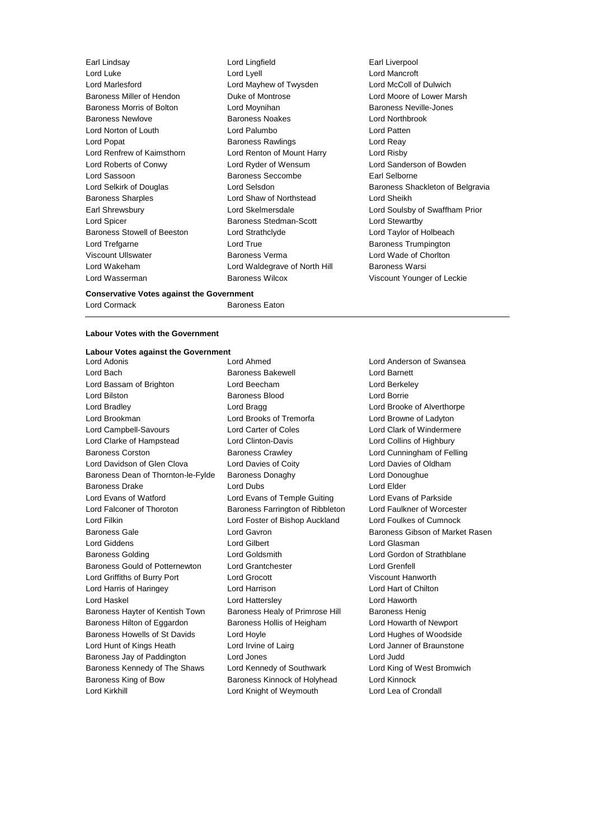| Earl Lindsay                       | Lord Lingfield                | Earl Liverpool          |
|------------------------------------|-------------------------------|-------------------------|
| Lord Luke                          | Lord Lyell                    | Lord Mancroft           |
| Lord Marlesford                    | Lord Mayhew of Twysden        | Lord McColl of D        |
| Baroness Miller of Hendon          | Duke of Montrose              | Lord Moore of Lo        |
| Baroness Morris of Bolton          | Lord Moynihan                 | <b>Baroness Neville</b> |
| <b>Baroness Newlove</b>            | <b>Baroness Noakes</b>        | <b>Lord Northbrook</b>  |
| Lord Norton of Louth               | Lord Palumbo                  | Lord Patten             |
| Lord Popat                         | <b>Baroness Rawlings</b>      | Lord Reay               |
| Lord Renfrew of Kaimsthorn         | Lord Renton of Mount Harry    | Lord Risby              |
| Lord Roberts of Conwy              | Lord Ryder of Wensum          | Lord Sanderson          |
| Lord Sassoon                       | <b>Baroness Seccombe</b>      | Earl Selborne           |
| Lord Selkirk of Douglas            | Lord Selsdon                  | <b>Baroness Shack</b>   |
| <b>Baroness Sharples</b>           | Lord Shaw of Northstead       | Lord Sheikh             |
| Earl Shrewsbury                    | Lord Skelmersdale             | Lord Soulsby of         |
| Lord Spicer                        | Baroness Stedman-Scott        | Lord Stewartby          |
| <b>Baroness Stowell of Beeston</b> | Lord Strathclyde              | Lord Taylor of Ho       |
| Lord Trefgarne                     | Lord True                     | <b>Baroness Trump</b>   |
| <b>Viscount Ullswater</b>          | <b>Baroness Verma</b>         | Lord Wade of Ch         |
| Lord Wakeham                       | Lord Waldegrave of North Hill | Baroness Warsi          |
| Lord Wasserman                     | <b>Baroness Wilcox</b>        | Viscount Younge         |
|                                    |                               |                         |

Earl Liverpool Lord Mancroft Lord Marlesford Lord Mayhew of Twysden Lord McColl of Dulwich Lord Moore of Lower Marsh Baroness Neville-Jones larry Lord Risby Lord Sanderson of Bowden Earl Selborne Baroness Shackleton of Belgravia d Lord Sheikh Lord Soulsby of Swaffham Prior tt Lord Stewartby Lord Taylor of Holbeach Baroness Trumpington Lord Wade of Chorlton Lord Wakeham Lord Waldegrave of North Hill Baroness Warsi Viscount Younger of Leckie

### **Conservative Votes against the Government**

Lord Cormack Baroness Eaton

#### **Labour Votes with the Government**

## **Labour Votes against the Government**

Lord Bach Baroness Bakewell Lord Barnett Lord Bassam of Brighton Lord Beecham Lord Berkeley Lord Bilston **Baroness Blood Lord Borrie Lord Borrie** Lord Bradley Lord Bragg Lord Brooke of Alverthorpe Lord Brookman Lord Brooks of Tremorfa Lord Browne of Ladyton Lord Campbell-Savours Lord Carter of Coles Lord Clark of Windermere Lord Clarke of Hampstead Lord Clinton-Davis Lord Collins of Highbury Baroness Corston Baroness Crawley Lord Cunningham of Felling Lord Davidson of Glen Clova Lord Davies of Coity Lord Davies of Oldham Baroness Dean of Thornton-le-Fylde Baroness Donaghy Lord Donoughue Baroness Drake Lord Dubs Lord Elder Lord Evans of Watford Lord Evans of Temple Guiting Lord Evans of Parkside Lord Falconer of Thoroton Baroness Farrington of Ribbleton Lord Faulkner of Worcester Lord Filkin Lord Foster of Bishop Auckland Lord Foulkes of Cumnock Baroness Gale **Communist Constructs** Lord Gavron **Baroness Gibson of Market Rasen** Lord Giddens Lord Gilbert Lord Glasman Baroness Golding Lord Goldsmith Lord Gordon of Strathblane Baroness Gould of Potternewton Lord Grantchester Lord Crenfell Lord Griffiths of Burry Port Lord Grocott Viscount Hanworth Lord Harris of Haringey Lord Harrison Lord Hart of Chilton Lord Haskel Lord Hattersley Lord Haworth Baroness Hayter of Kentish Town Baroness Healy of Primrose Hill Baroness Henig Baroness Hilton of Eggardon Baroness Hollis of Heigham Lord Howarth of Newport Baroness Howells of St Davids Lord Hoyle Lord Hughes of Woodside Lord Hunt of Kings Heath **Lord Irvine of Lairg Lord Janner of Braunstone** Baroness Jay of Paddington Lord Jones Lord Judd Lord Judd Baroness Kennedy of The Shaws Lord Kennedy of Southwark Lord King of West Bromwich Baroness King of Bow Baroness Kinnock of Holyhead Lord Kinnock Lord Kirkhill Lord Knight of Weymouth Lord Lea of Crondall

Lord Adonis Lord Ahmed Lord Anderson of Swansea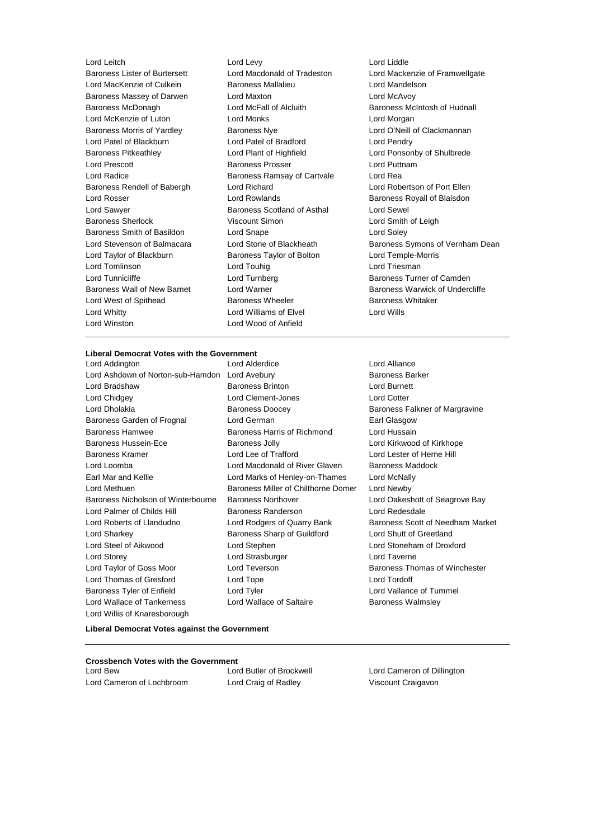Lord Leitch Lord Levy Lord Liddle Lord MacKenzie of Culkein Baroness Mallalieu Lord Mandelson Baroness Massey of Darwen Lord Maxton Lord McAvoy Baroness McDonagh Lord McFall of Alcluith Baroness McIntosh of Hudnall Lord McKenzie of Luton Lord Monks Lord Morgan Baroness Morris of Yardley **Baroness Nye Baroness Nye Lord O'Neill of Clackmannan** Lord Patel of Blackburn Lord Patel of Bradford Lord Pendry Baroness Pitkeathley Lord Plant of Highfield Lord Ponsonby of Shulbrede Lord Prescott **Baroness Prosser** Cord Puttnam Lord Radice Baroness Ramsay of Cartvale Lord Rea Baroness Rendell of Babergh Lord Richard Lord Robertson of Port Ellen Lord Rosser **Lord Rowlands Baroness Royall of Blaisdon** Lord Sawyer Baroness Scotland of Asthal Lord Sewel Baroness Sherlock **Viscount Simon** Lord Smith of Leigh Baroness Smith of Basildon Lord Snape Lord Soley Lord Taylor of Blackburn **Baroness Taylor of Bolton** Lord Temple-Morris Lord Tomlinson Lord Touhig Lord Triesman Lord Tunnicliffe Lord Turnberg Baroness Turner of Camden Lord West of Spithead **Baroness Wheeler** Baroness Whitaker Lord Whitty **Lord Williams of Elvel** Lord Wills Lord Winston Lord Wood of Anfield

Baroness Lister of Burtersett Lord Macdonald of Tradeston Lord Mackenzie of Framwellgate<br>Lord MacKenzie of Culkein Baroness Mallalieu Lord Mandelson Lord Stevenson of Balmacara Lord Stone of Blackheath Baroness Symons of Vernham Dean Baroness Wall of New Barnet Lord Warner Communication Baroness Warwick of Undercliffe

#### **Liberal Democrat Votes with the Government**

Lord Addington Lord Alderdice Lord Alliance Lord Ashdown of Norton-sub-Hamdon Lord Avebury **Baroness Barker** Baroness Barker Lord Bradshaw Baroness Brinton Lord Burnett Lord Chidgey Lord Clement-Jones Lord Cotter Lord Dholakia **Baroness Doocey** Baroness Doocey Baroness Falkner of Margravine Baroness Garden of Frognal Lord German Communication Carl Glasgow Baroness Hamwee **Baroness Harris of Richmond** Lord Hussain Baroness Hussein-Ece Baroness Jolly Lord Kirkwood of Kirkhope Baroness Kramer Lord Lee of Trafford Lord Lester of Herne Hill Lord Loomba Lord Macdonald of River Glaven Baroness Maddock Earl Mar and Kellie **Lord Marks of Henley-on-Thames** Lord McNally Lord Methuen Baroness Miller of Chilthorne Domer Lord Newby Baroness Nicholson of Winterbourne Baroness Northover **Lord Oakeshott of Seagrove Bay** Lord Palmer of Childs Hill Baroness Randerson Lord Redesdale Lord Roberts of Llandudno Lord Rodgers of Quarry Bank Baroness Scott of Needham Market Lord Sharkey **Baroness Sharp of Guildford** Lord Shutt of Greetland Lord Steel of Aikwood Lord Stephen Lord Stoneham of Droxford Lord Storey Lord Strasburger Lord Taverne Lord Taylor of Goss Moor **Lord Teverson** Baroness Thomas of Winchester Lord Thomas of Gresford Lord Tope Lord Tordoff Baroness Tyler of Enfield **Lord Tyler** Lord Tyler **Lord Vallance of Tummel** Lord Wallace of Tankerness **Lord Wallace of Saltaire Baroness Walmsley** Lord Willis of Knaresborough

**Liberal Democrat Votes against the Government**

#### **Crossbench Votes with the Government**

Lord Cameron of Lochbroom Lord Craig of Radley Viscount Craigavon

Lord Bew Lord Butler of Brockwell Lord Cameron of Dillington